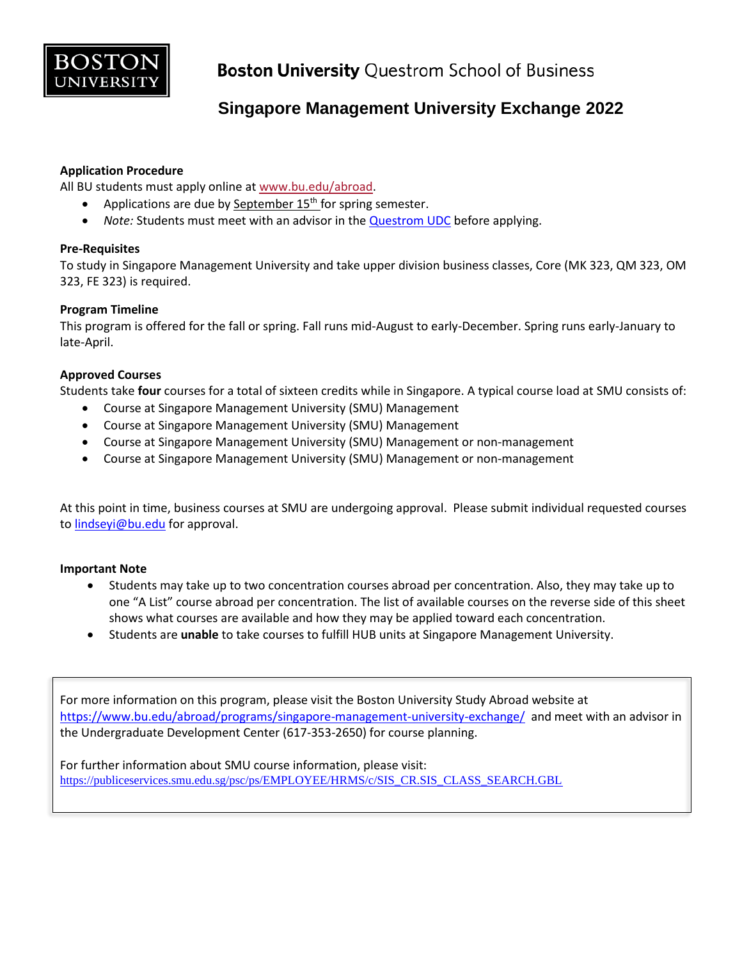

# **Singapore Management University Exchange 2022**

## **Application Procedure**

All BU students must apply online at [www.bu.edu/abroad.](http://www.bu.edu/abroad)

- Applications are due by September  $15<sup>th</sup>$  for spring semester.
- *Note:* Students must meet with an advisor in th[e Questrom UDC](http://questromworld.bu.edu/studyabroad/advising/) before applying.

## **Pre-Requisites**

To study in Singapore Management University and take upper division business classes, Core (MK 323, QM 323, OM 323, FE 323) is required.

## **Program Timeline**

This program is offered for the fall or spring. Fall runs mid-August to early-December. Spring runs early-January to late-April.

#### **Approved Courses**

Students take **four** courses for a total of sixteen credits while in Singapore. A typical course load at SMU consists of:

- Course at Singapore Management University (SMU) Management
- Course at Singapore Management University (SMU) Management
- Course at Singapore Management University (SMU) Management or non-management
- Course at Singapore Management University (SMU) Management or non-management

At this point in time, business courses at SMU are undergoing approval. Please submit individual requested courses t[o lindseyi@bu.edu](mailto:lindseyi@bu.edu) for approval.

#### **Important Note**

- Students may take up to two concentration courses abroad per concentration. Also, they may take up to one "A List" course abroad per concentration. The list of available courses on the reverse side of this sheet shows what courses are available and how they may be applied toward each concentration.
- Students are **unable** to take courses to fulfill HUB units at Singapore Management University.

For more information on this program, please visit the Boston University Study Abroad website at <https://www.bu.edu/abroad/programs/singapore-management-university-exchange/> and meet with an advisor in the Undergraduate Development Center (617-353-2650) for course planning.

For further information about SMU course information, please visit: [https://publiceservices.smu.edu.sg/psc/ps/EMPLOYEE/HRMS/c/SIS\\_CR.SIS\\_CLASS\\_SEARCH.GBL](https://publiceservices.smu.edu.sg/psc/ps/EMPLOYEE/HRMS/c/SIS_CR.SIS_CLASS_SEARCH.GBL)